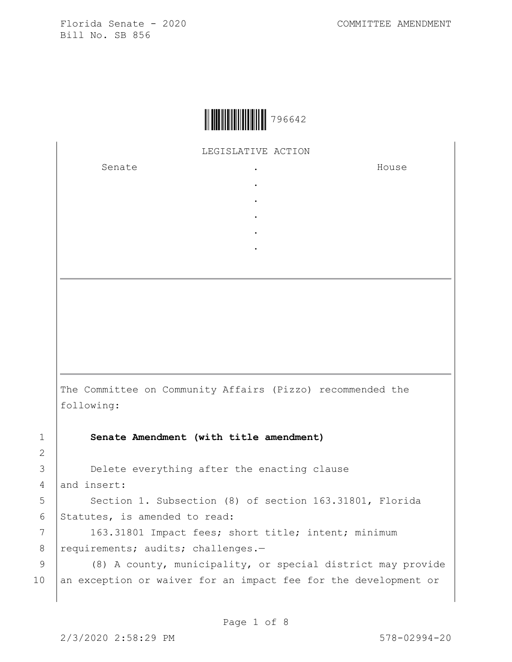

LEGISLATIVE ACTION

. . . . .

Senate the senate of the senate of the senate of  $\cdot$ 

House

The Committee on Community Affairs (Pizzo) recommended the following:

1 **Senate Amendment (with title amendment)**

3 **Delete everything after the enacting clause** 4 and insert:

5 | Section 1. Subsection (8) of section 163.31801, Florida 6 Statutes, is amended to read:

7 | 163.31801 Impact fees; short title; intent; minimum 8 | requirements; audits; challenges.-

9 (8) A county, municipality, or special district may provide 10 an exception or waiver for an impact fee for the development or

2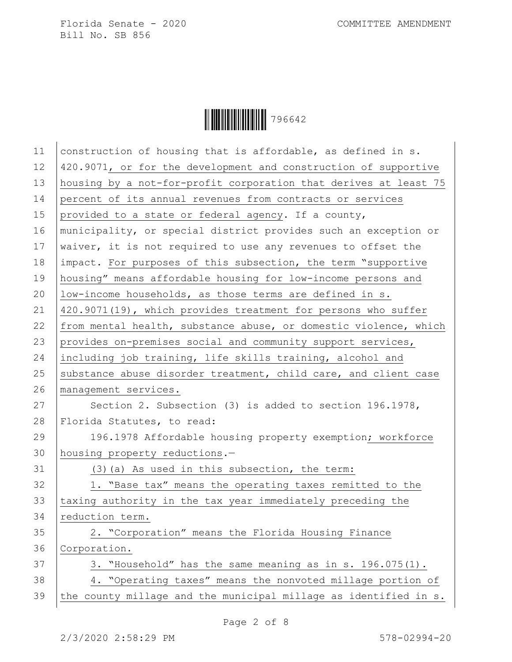

| 11 | construction of housing that is affordable, as defined in s.     |
|----|------------------------------------------------------------------|
| 12 | 420.9071, or for the development and construction of supportive  |
| 13 | housing by a not-for-profit corporation that derives at least 75 |
| 14 | percent of its annual revenues from contracts or services        |
| 15 | provided to a state or federal agency. If a county,              |
| 16 | municipality, or special district provides such an exception or  |
| 17 | waiver, it is not required to use any revenues to offset the     |
| 18 | impact. For purposes of this subsection, the term "supportive    |
| 19 | housing" means affordable housing for low-income persons and     |
| 20 | low-income households, as those terms are defined in s.          |
| 21 | 420.9071(19), which provides treatment for persons who suffer    |
| 22 | from mental health, substance abuse, or domestic violence, which |
| 23 | provides on-premises social and community support services,      |
| 24 | including job training, life skills training, alcohol and        |
| 25 | substance abuse disorder treatment, child care, and client case  |
| 26 | management services.                                             |
| 27 | Section 2. Subsection (3) is added to section 196.1978,          |
| 28 | Florida Statutes, to read:                                       |
| 29 | 196.1978 Affordable housing property exemption; workforce        |
| 30 | housing property reductions.-                                    |
| 31 | (3) (a) As used in this subsection, the term:                    |
| 32 | 1. "Base tax" means the operating taxes remitted to the          |
| 33 | taxing authority in the tax year immediately preceding the       |
| 34 | reduction term.                                                  |
| 35 | 2. "Corporation" means the Florida Housing Finance               |
| 36 | Corporation.                                                     |
| 37 | 3. "Household" has the same meaning as in s. 196.075(1).         |
| 38 | 4. "Operating taxes" means the nonvoted millage portion of       |
| 39 | the county millage and the municipal millage as identified in s. |
|    |                                                                  |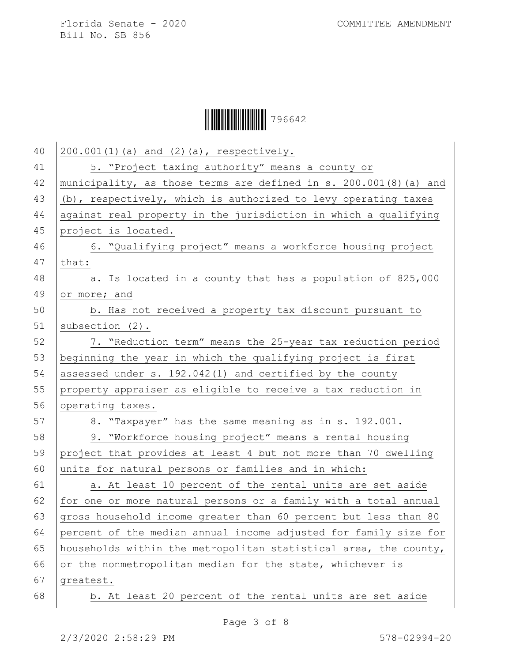

| 40 | 200.001(1)(a) and (2)(a), respectively.                           |
|----|-------------------------------------------------------------------|
| 41 | 5. "Project taxing authority" means a county or                   |
| 42 | municipality, as those terms are defined in s. 200.001(8) (a) and |
| 43 | (b), respectively, which is authorized to levy operating taxes    |
| 44 | against real property in the jurisdiction in which a qualifying   |
| 45 | project is located.                                               |
| 46 | 6. "Qualifying project" means a workforce housing project         |
| 47 | that:                                                             |
| 48 | a. Is located in a county that has a population of 825,000        |
| 49 | or more; and                                                      |
| 50 | b. Has not received a property tax discount pursuant to           |
| 51 | subsection $(2)$ .                                                |
| 52 | 7. "Reduction term" means the 25-year tax reduction period        |
| 53 | beginning the year in which the qualifying project is first       |
| 54 | assessed under s. 192.042(1) and certified by the county          |
| 55 | property appraiser as eligible to receive a tax reduction in      |
| 56 | operating taxes.                                                  |
| 57 | 8. "Taxpayer" has the same meaning as in s. 192.001.              |
| 58 | 9. "Workforce housing project" means a rental housing             |
| 59 | project that provides at least 4 but not more than 70 dwelling    |
| 60 | units for natural persons or families and in which:               |
| 61 | a. At least 10 percent of the rental units are set aside          |
| 62 | for one or more natural persons or a family with a total annual   |
| 63 | gross household income greater than 60 percent but less than 80   |
| 64 | percent of the median annual income adjusted for family size for  |
| 65 | households within the metropolitan statistical area, the county,  |
| 66 | or the nonmetropolitan median for the state, whichever is         |
| 67 | greatest.                                                         |
| 68 | b. At least 20 percent of the rental units are set aside          |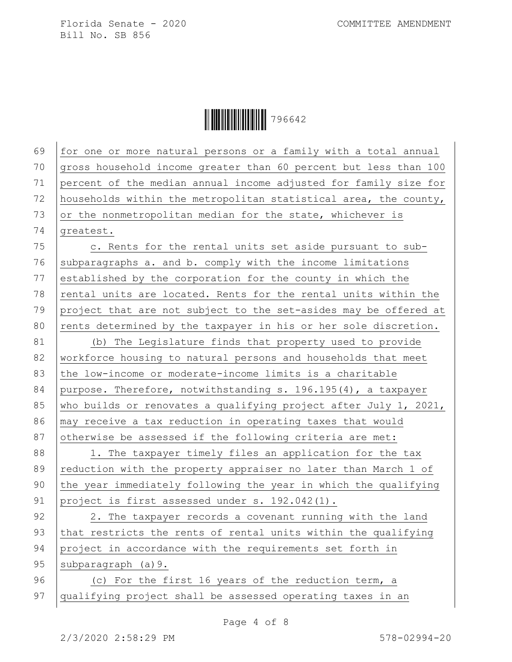Ì7966428Î796642

69 for one or more natural persons or a family with a total annual 70  $qross$  household income greater than 60 percent but less than 100 71 percent of the median annual income adjusted for family size for 72 households within the metropolitan statistical area, the county,  $73$  or the nonmetropolitan median for the state, whichever is 74  $|q$ reatest. 75 c. Rents for the rental units set aside pursuant to sub-76 subparagraphs a. and b. comply with the income limitations 77 established by the corporation for the county in which the 78 rental units are located. Rents for the rental units within the 79 project that are not subject to the set-asides may be offered at 80 rents determined by the taxpayer in his or her sole discretion. 81 (b) The Legislature finds that property used to provide 82 workforce housing to natural persons and households that meet 83 the low-income or moderate-income limits is a charitable 84 purpose. Therefore, notwithstanding s. 196.195(4), a taxpayer 85 who builds or renovates a qualifying project after July 1, 2021, 86 | may receive a tax reduction in operating taxes that would 87 otherwise be assessed if the following criteria are met: 88 | 1. The taxpayer timely files an application for the tax 89 reduction with the property appraiser no later than March 1 of 90 the year immediately following the year in which the qualifying 91 project is first assessed under s. 192.042(1). 92 | 2. The taxpayer records a covenant running with the land 93 that restricts the rents of rental units within the qualifying 94 project in accordance with the requirements set forth in 95 | subparagraph (a) 9. 96 (c) For the first 16 years of the reduction term, a 97 qualifying project shall be assessed operating taxes in an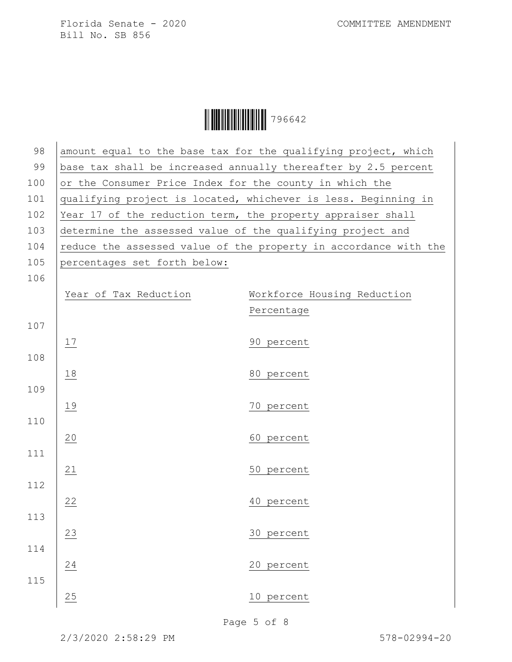

| 98  |                                                             | amount equal to the base tax for the qualifying project, which   |
|-----|-------------------------------------------------------------|------------------------------------------------------------------|
| 99  |                                                             | base tax shall be increased annually thereafter by 2.5 percent   |
| 100 | or the Consumer Price Index for the county in which the     |                                                                  |
| 101 |                                                             | qualifying project is located, whichever is less. Beginning in   |
| 102 | Year 17 of the reduction term, the property appraiser shall |                                                                  |
| 103 | determine the assessed value of the qualifying project and  |                                                                  |
| 104 |                                                             | reduce the assessed value of the property in accordance with the |
| 105 | percentages set forth below:                                |                                                                  |
| 106 |                                                             |                                                                  |
|     | Year of Tax Reduction                                       | Workforce Housing Reduction                                      |
|     |                                                             | Percentage                                                       |
| 107 |                                                             |                                                                  |
|     | 17                                                          | 90 percent                                                       |
| 108 |                                                             |                                                                  |
|     | 18                                                          | 80 percent                                                       |
| 109 |                                                             |                                                                  |
|     | 19                                                          | 70 percent                                                       |
| 110 |                                                             |                                                                  |
|     | 20                                                          | 60 percent                                                       |
| 111 |                                                             |                                                                  |
|     | 21                                                          | 50 percent                                                       |
| 112 |                                                             |                                                                  |
|     | 22                                                          | 40 percent                                                       |
| 113 |                                                             |                                                                  |
|     | 23                                                          | 30 percent                                                       |
| 114 |                                                             |                                                                  |
|     | 24                                                          | 20 percent                                                       |
| 115 |                                                             |                                                                  |
|     | 25                                                          | 10 percent                                                       |
|     |                                                             |                                                                  |

Page 5 of 8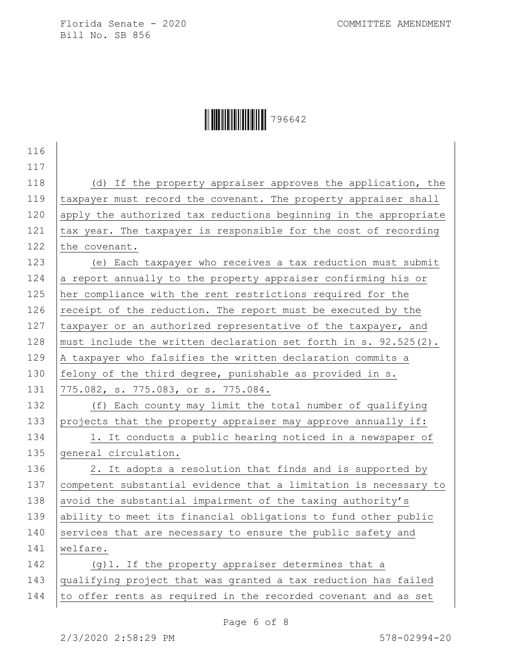## Ì7966428Î796642

| 116 |                                                                  |
|-----|------------------------------------------------------------------|
| 117 |                                                                  |
| 118 | (d) If the property appraiser approves the application, the      |
| 119 | taxpayer must record the covenant. The property appraiser shall  |
| 120 | apply the authorized tax reductions beginning in the appropriate |
| 121 | tax year. The taxpayer is responsible for the cost of recording  |
| 122 | the covenant.                                                    |
| 123 | (e) Each taxpayer who receives a tax reduction must submit       |
| 124 | a report annually to the property appraiser confirming his or    |
| 125 | her compliance with the rent restrictions required for the       |
| 126 | receipt of the reduction. The report must be executed by the     |
| 127 | taxpayer or an authorized representative of the taxpayer, and    |
| 128 | must include the written declaration set forth in s. 92.525(2).  |
| 129 | A taxpayer who falsifies the written declaration commits a       |
| 130 | felony of the third degree, punishable as provided in s.         |
| 131 | 775.082, s. 775.083, or s. 775.084.                              |
| 132 | (f) Each county may limit the total number of qualifying         |
| 133 | projects that the property appraiser may approve annually if:    |
| 134 | 1. It conducts a public hearing noticed in a newspaper of        |
| 135 | general circulation.                                             |
| 136 | 2. It adopts a resolution that finds and is supported by         |
| 137 | competent substantial evidence that a limitation is necessary to |
| 138 | avoid the substantial impairment of the taxing authority's       |
| 139 | ability to meet its financial obligations to fund other public   |
| 140 | services that are necessary to ensure the public safety and      |
| 141 | welfare.                                                         |
| 142 | (g) 1. If the property appraiser determines that a               |
| 143 | qualifying project that was granted a tax reduction has failed   |
| 144 | to offer rents as required in the recorded covenant and as set   |
|     |                                                                  |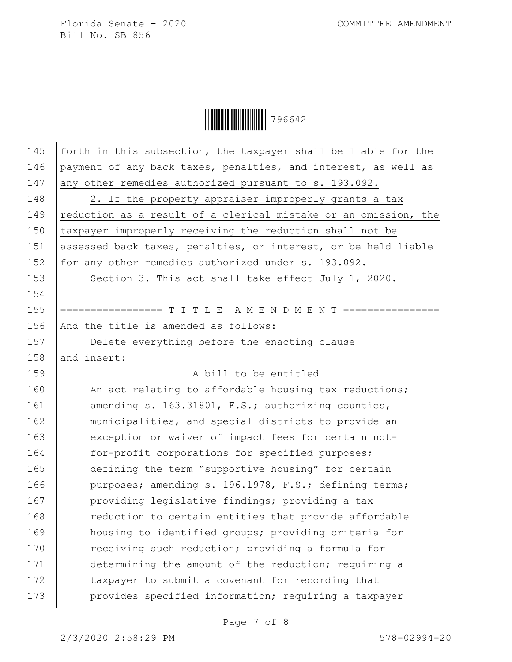**│ │ │ │ │ │ │ │ │ │ │ │ │ │ │ │** 796642

| 145 |                                                                 |
|-----|-----------------------------------------------------------------|
|     | forth in this subsection, the taxpayer shall be liable for the  |
| 146 | payment of any back taxes, penalties, and interest, as well as  |
| 147 | any other remedies authorized pursuant to s. 193.092.           |
| 148 | 2. If the property appraiser improperly grants a tax            |
| 149 | reduction as a result of a clerical mistake or an omission, the |
| 150 | taxpayer improperly receiving the reduction shall not be        |
| 151 | assessed back taxes, penalties, or interest, or be held liable  |
| 152 | for any other remedies authorized under s. 193.092.             |
| 153 | Section 3. This act shall take effect July 1, 2020.             |
| 154 |                                                                 |
| 155 |                                                                 |
| 156 | And the title is amended as follows:                            |
| 157 | Delete everything before the enacting clause                    |
| 158 | and insert:                                                     |
| 159 | A bill to be entitled                                           |
| 160 | An act relating to affordable housing tax reductions;           |
| 161 | amending s. 163.31801, F.S.; authorizing counties,              |
| 162 | municipalities, and special districts to provide an             |
| 163 | exception or waiver of impact fees for certain not-             |
| 164 | for-profit corporations for specified purposes;                 |
| 165 | defining the term "supportive housing" for certain              |
| 166 | purposes; amending s. 196.1978, F.S.; defining terms;           |
| 167 | providing legislative findings; providing a tax                 |
| 168 | reduction to certain entities that provide affordable           |
| 169 | housing to identified groups; providing criteria for            |
| 170 | receiving such reduction; providing a formula for               |
| 171 | determining the amount of the reduction; requiring a            |
| 172 | taxpayer to submit a covenant for recording that                |
| 173 | provides specified information; requiring a taxpayer            |
|     |                                                                 |